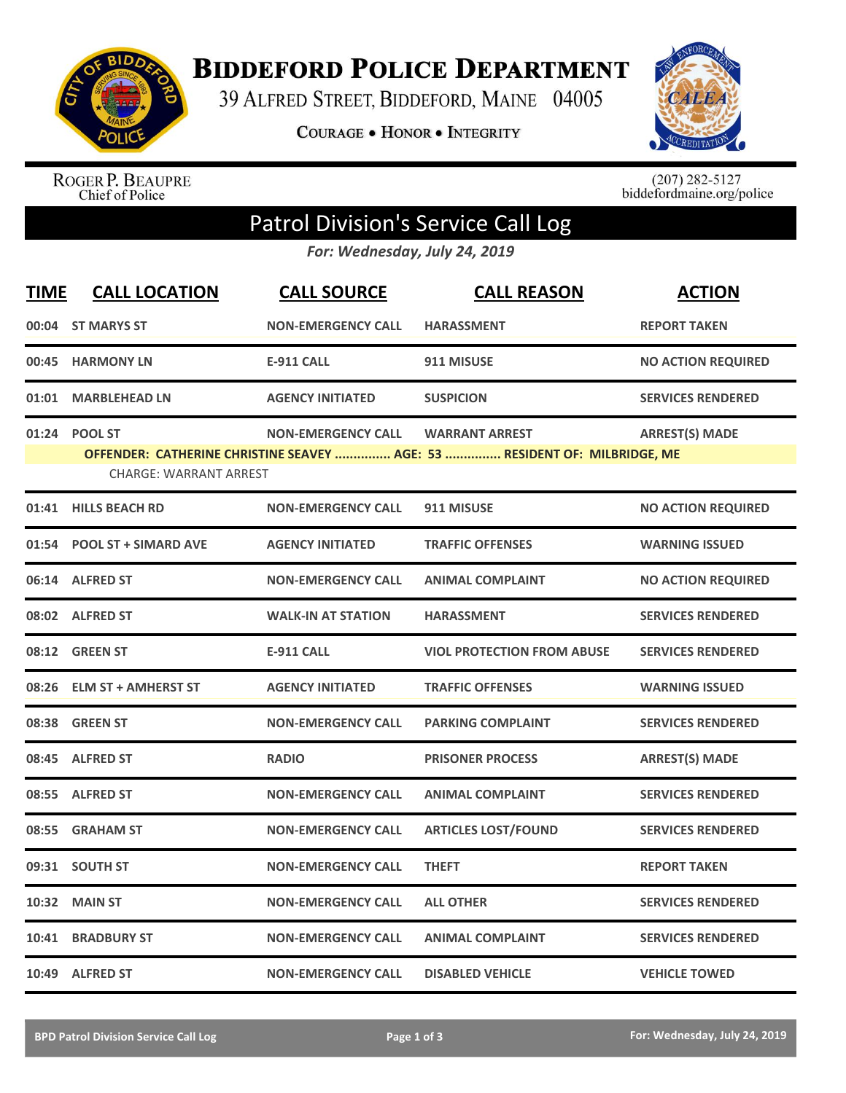

**BIDDEFORD POLICE DEPARTMENT** 

39 ALFRED STREET, BIDDEFORD, MAINE 04005

**COURAGE . HONOR . INTEGRITY** 



ROGER P. BEAUPRE<br>Chief of Police

 $(207)$  282-5127<br>biddefordmaine.org/police

## Patrol Division's Service Call Log

*For: Wednesday, July 24, 2019*

| <b>TIME</b> | <b>CALL LOCATION</b>                           | <b>CALL SOURCE</b>        | <b>CALL REASON</b>                                                                                 | <b>ACTION</b>             |
|-------------|------------------------------------------------|---------------------------|----------------------------------------------------------------------------------------------------|---------------------------|
|             | 00:04 ST MARYS ST                              | <b>NON-EMERGENCY CALL</b> | <b>HARASSMENT</b>                                                                                  | <b>REPORT TAKEN</b>       |
|             | 00:45 HARMONY LN                               | <b>E-911 CALL</b>         | 911 MISUSE                                                                                         | <b>NO ACTION REQUIRED</b> |
| 01:01       | <b>MARBLEHEAD LN</b>                           | <b>AGENCY INITIATED</b>   | <b>SUSPICION</b>                                                                                   | <b>SERVICES RENDERED</b>  |
|             | 01:24 POOL ST<br><b>CHARGE: WARRANT ARREST</b> | <b>NON-EMERGENCY CALL</b> | <b>WARRANT ARREST</b><br>OFFENDER: CATHERINE CHRISTINE SEAVEY  AGE: 53  RESIDENT OF: MILBRIDGE, ME | <b>ARREST(S) MADE</b>     |
| 01:41       | <b>HILLS BEACH RD</b>                          | <b>NON-EMERGENCY CALL</b> | 911 MISUSE                                                                                         | <b>NO ACTION REQUIRED</b> |
|             | 01:54 POOL ST + SIMARD AVE                     | <b>AGENCY INITIATED</b>   | <b>TRAFFIC OFFENSES</b>                                                                            | <b>WARNING ISSUED</b>     |
|             | 06:14 ALFRED ST                                | <b>NON-EMERGENCY CALL</b> | <b>ANIMAL COMPLAINT</b>                                                                            | <b>NO ACTION REQUIRED</b> |
|             | 08:02 ALFRED ST                                | <b>WALK-IN AT STATION</b> | <b>HARASSMENT</b>                                                                                  | <b>SERVICES RENDERED</b>  |
|             | 08:12 GREEN ST                                 | <b>E-911 CALL</b>         | <b>VIOL PROTECTION FROM ABUSE</b>                                                                  | <b>SERVICES RENDERED</b>  |
| 08:26       | <b>ELM ST + AMHERST ST</b>                     | <b>AGENCY INITIATED</b>   | <b>TRAFFIC OFFENSES</b>                                                                            | <b>WARNING ISSUED</b>     |
|             | 08:38 GREEN ST                                 | <b>NON-EMERGENCY CALL</b> | <b>PARKING COMPLAINT</b>                                                                           | <b>SERVICES RENDERED</b>  |
|             | 08:45 ALFRED ST                                | <b>RADIO</b>              | <b>PRISONER PROCESS</b>                                                                            | <b>ARREST(S) MADE</b>     |
| 08:55       | <b>ALFRED ST</b>                               | <b>NON-EMERGENCY CALL</b> | <b>ANIMAL COMPLAINT</b>                                                                            | <b>SERVICES RENDERED</b>  |
| 08:55       | <b>GRAHAM ST</b>                               | <b>NON-EMERGENCY CALL</b> | <b>ARTICLES LOST/FOUND</b>                                                                         | <b>SERVICES RENDERED</b>  |
| 09:31       | <b>SOUTH ST</b>                                | <b>NON-EMERGENCY CALL</b> | <b>THEFT</b>                                                                                       | <b>REPORT TAKEN</b>       |
| 10:32       | <b>MAIN ST</b>                                 | <b>NON-EMERGENCY CALL</b> | <b>ALL OTHER</b>                                                                                   | <b>SERVICES RENDERED</b>  |
| 10:41       | <b>BRADBURY ST</b>                             | <b>NON-EMERGENCY CALL</b> | <b>ANIMAL COMPLAINT</b>                                                                            | <b>SERVICES RENDERED</b>  |
|             | 10:49 ALFRED ST                                | <b>NON-EMERGENCY CALL</b> | <b>DISABLED VEHICLE</b>                                                                            | <b>VEHICLE TOWED</b>      |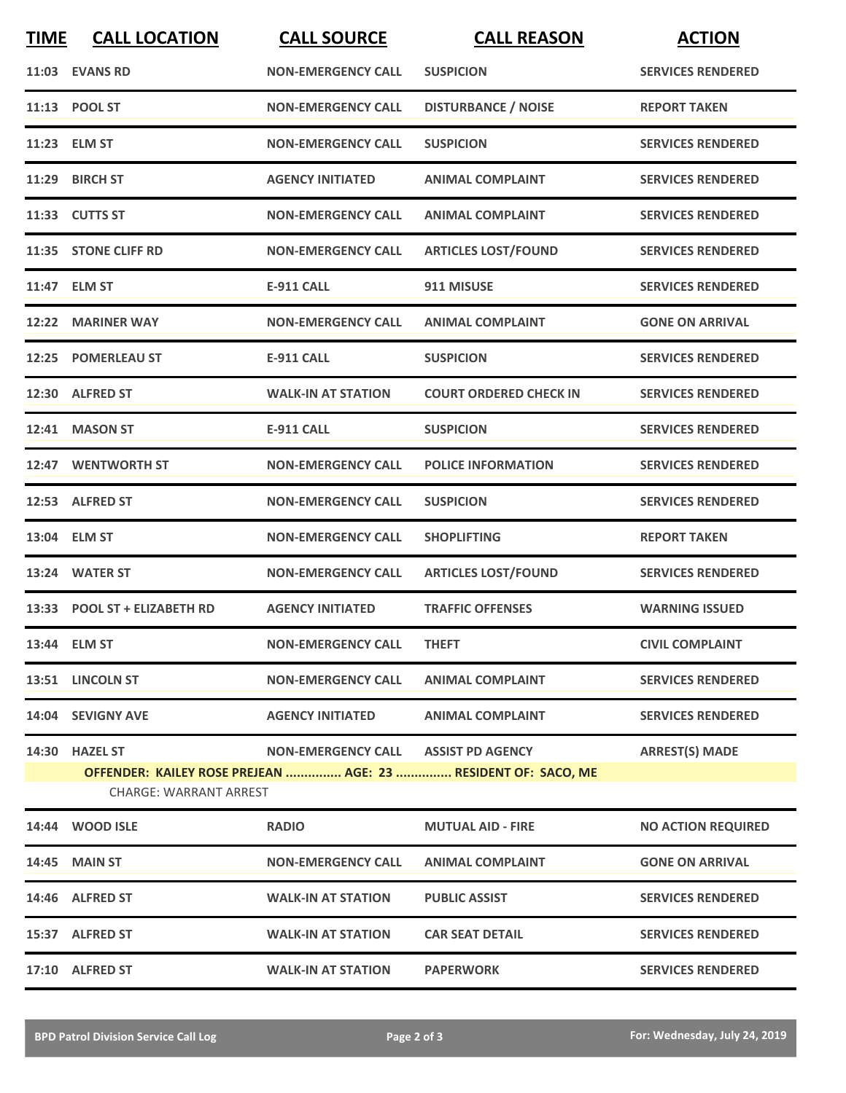| <b>TIME</b> | <b>CALL LOCATION</b>          | <b>CALL SOURCE</b>                  | <b>CALL REASON</b>                                            | <b>ACTION</b>             |
|-------------|-------------------------------|-------------------------------------|---------------------------------------------------------------|---------------------------|
|             | 11:03 EVANS RD                | <b>NON-EMERGENCY CALL</b>           | <b>SUSPICION</b>                                              | <b>SERVICES RENDERED</b>  |
|             | 11:13 POOL ST                 | <b>NON-EMERGENCY CALL</b>           | <b>DISTURBANCE / NOISE</b>                                    | <b>REPORT TAKEN</b>       |
|             | 11:23 ELM ST                  | <b>NON-EMERGENCY CALL</b>           | <b>SUSPICION</b>                                              | <b>SERVICES RENDERED</b>  |
|             | 11:29 BIRCH ST                | <b>AGENCY INITIATED</b>             | <b>ANIMAL COMPLAINT</b>                                       | <b>SERVICES RENDERED</b>  |
|             | 11:33 CUTTS ST                | <b>NON-EMERGENCY CALL</b>           | <b>ANIMAL COMPLAINT</b>                                       | <b>SERVICES RENDERED</b>  |
|             | 11:35 STONE CLIFF RD          | <b>NON-EMERGENCY CALL</b>           | <b>ARTICLES LOST/FOUND</b>                                    | <b>SERVICES RENDERED</b>  |
|             | 11:47 ELM ST                  | <b>E-911 CALL</b>                   | 911 MISUSE                                                    | <b>SERVICES RENDERED</b>  |
| 12:22       | <b>MARINER WAY</b>            | <b>NON-EMERGENCY CALL</b>           | <b>ANIMAL COMPLAINT</b>                                       | <b>GONE ON ARRIVAL</b>    |
| 12:25       | <b>POMERLEAU ST</b>           | <b>E-911 CALL</b>                   | <b>SUSPICION</b>                                              | <b>SERVICES RENDERED</b>  |
|             | 12:30 ALFRED ST               | <b>WALK-IN AT STATION</b>           | <b>COURT ORDERED CHECK IN</b>                                 | <b>SERVICES RENDERED</b>  |
|             | 12:41 MASON ST                | <b>E-911 CALL</b>                   | <b>SUSPICION</b>                                              | <b>SERVICES RENDERED</b>  |
|             | 12:47 WENTWORTH ST            | <b>NON-EMERGENCY CALL</b>           | <b>POLICE INFORMATION</b>                                     | <b>SERVICES RENDERED</b>  |
|             | 12:53 ALFRED ST               | <b>NON-EMERGENCY CALL</b>           | <b>SUSPICION</b>                                              | <b>SERVICES RENDERED</b>  |
|             | 13:04 ELM ST                  | <b>NON-EMERGENCY CALL</b>           | <b>SHOPLIFTING</b>                                            | <b>REPORT TAKEN</b>       |
|             | 13:24 WATER ST                | <b>NON-EMERGENCY CALL</b>           | <b>ARTICLES LOST/FOUND</b>                                    | <b>SERVICES RENDERED</b>  |
|             | 13:33 POOL ST + ELIZABETH RD  | <b>AGENCY INITIATED</b>             | <b>TRAFFIC OFFENSES</b>                                       | <b>WARNING ISSUED</b>     |
|             | 13:44 ELM ST                  | <b>NON-EMERGENCY CALL</b>           | <b>THEFT</b>                                                  | <b>CIVIL COMPLAINT</b>    |
|             | 13:51 LINCOLN ST              | <b>NON-EMERGENCY CALL</b>           | <b>ANIMAL COMPLAINT</b>                                       | <b>SERVICES RENDERED</b>  |
|             | 14:04 SEVIGNY AVE             | <b>AGENCY INITIATED</b>             | <b>ANIMAL COMPLAINT</b>                                       | <b>SERVICES RENDERED</b>  |
|             | 14:30 HAZEL ST                | NON-EMERGENCY CALL ASSIST PD AGENCY |                                                               | <b>ARREST(S) MADE</b>     |
|             | <b>CHARGE: WARRANT ARREST</b> |                                     | OFFENDER: KAILEY ROSE PREJEAN  AGE: 23  RESIDENT OF: SACO, ME |                           |
|             | 14:44 WOOD ISLE               | <b>RADIO</b>                        | <b>MUTUAL AID - FIRE</b>                                      | <b>NO ACTION REQUIRED</b> |
|             | 14:45 MAIN ST                 | <b>NON-EMERGENCY CALL</b>           | <b>ANIMAL COMPLAINT</b>                                       | <b>GONE ON ARRIVAL</b>    |
|             | 14:46 ALFRED ST               | <b>WALK-IN AT STATION</b>           | <b>PUBLIC ASSIST</b>                                          | <b>SERVICES RENDERED</b>  |
|             | 15:37 ALFRED ST               | <b>WALK-IN AT STATION</b>           | <b>CAR SEAT DETAIL</b>                                        | <b>SERVICES RENDERED</b>  |
|             | 17:10 ALFRED ST               | <b>WALK-IN AT STATION</b>           | <b>PAPERWORK</b>                                              | <b>SERVICES RENDERED</b>  |